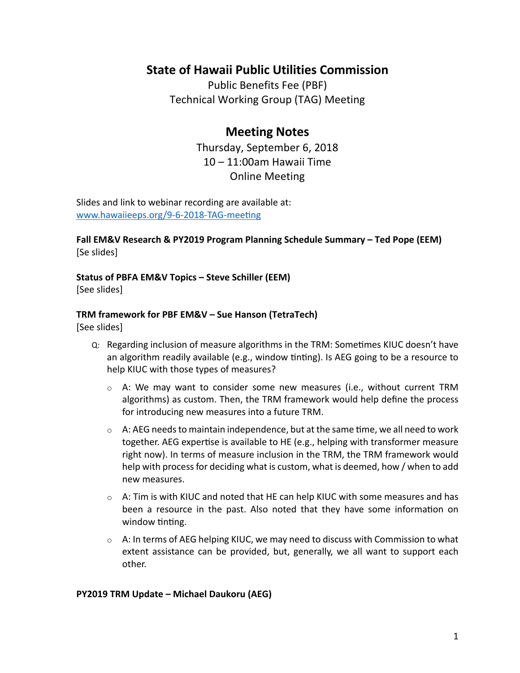# **State of Hawaii Public Utilities Commission**

Public Benefits Fee (PBF) Technical Working Group (TAG) Meeting

# **Meeting Notes**

Thursday, September 6, 2018 10 – 11:00am Hawaii Time Online Meeting

Slides and link to webinar recording are available at: www.hawaiieeps.org/9-6-2018-TAG-meeting

**Fall EM&V Research & PY2019 Program Planning Schedule Summary – Ted Pope (EEM)** [Se slides]

## **Status of PBFA EM&V Topics – Steve Schiller (EEM)**

[See slides]

#### **TRM framework for PBF EM&V – Sue Hanson (TetraTech)**

[See slides]

- Q: Regarding inclusion of measure algorithms in the TRM: Sometimes KIUC doesn't have an algorithm readily available (e.g., window tinting). Is AEG going to be a resource to help KIUC with those types of measures?
	- $\circ$  A: We may want to consider some new measures (i.e., without current TRM algorithms) as custom. Then, the TRM framework would help define the process for introducing new measures into a future TRM.
	- $\circ$  A: AEG needs to maintain independence, but at the same time, we all need to work together. AEG expertise is available to HE (e.g., helping with transformer measure right now). In terms of measure inclusion in the TRM, the TRM framework would help with process for deciding what is custom, what is deemed, how / when to add new measures.
	- $\circ$  A: Tim is with KIUC and noted that HE can help KIUC with some measures and has been a resource in the past. Also noted that they have some information on window tinting.
	- $\circ$  A: In terms of AEG helping KIUC, we may need to discuss with Commission to what extent assistance can be provided, but, generally, we all want to support each other.

#### **PY2019 TRM Update – Michael Daukoru (AEG)**